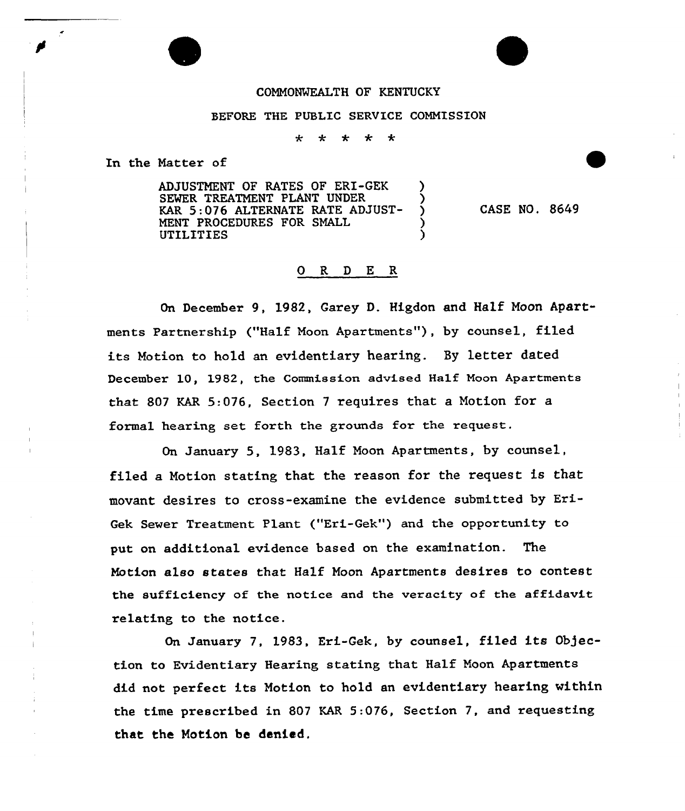## COMMONWEALTH OF KENTUCKY

## BEFORE THE PUBLIC SERVICE COMMISSION

 $\star$  $\star$ ÷ ∗

In the Matter of

ADJUSTNENT OF RATES OF ERI-GEK ) SEWER TREATMENT PLANT UNDER KAR 5:076 ALTERNATE RATE ADJUST-MENT PROCEDURES FOR SMALL UTILITIES )

CASE NO. 8649

## 0 R <sup>D</sup> E R

On December 9, 1982, Garey D. Higdon and Half Moon Apartments Partnership ("Half Noon Apartments" ), by counsel, filed its Motion to hold an evidentiary hearing. By letter dated December 10, 1982, the Commission advised Half Noon Apartments that 807 KAR 5..076, Section <sup>7</sup> requires that a Notion for a formal hearing set forth the grounds for the request.

On January 5, 1983, Half Noon Apartments, by counsel, filed a Notion stating that the reason for the request is that movant desires to cross-examine the evidence submitted by Exi-Gek Sewer Treatment Plant ("Eri-Gek") and the opportunity to put on additional evidence based on the examination. The Motion also states that Half Moon Apartments desires to contest the sufficiency of the notice and the veracity of the affidavit relating to the notice.

On January 7, 1983, Eri-Gek, by counsel, filed its Objection to Evidentiary Hearing stating that Half Noon Apartments did not perfect its Notion to hold an evidentiary hearing within the time prescribed in 807 KAR 5:076, Section 7, and requesting that the Notion be denied.